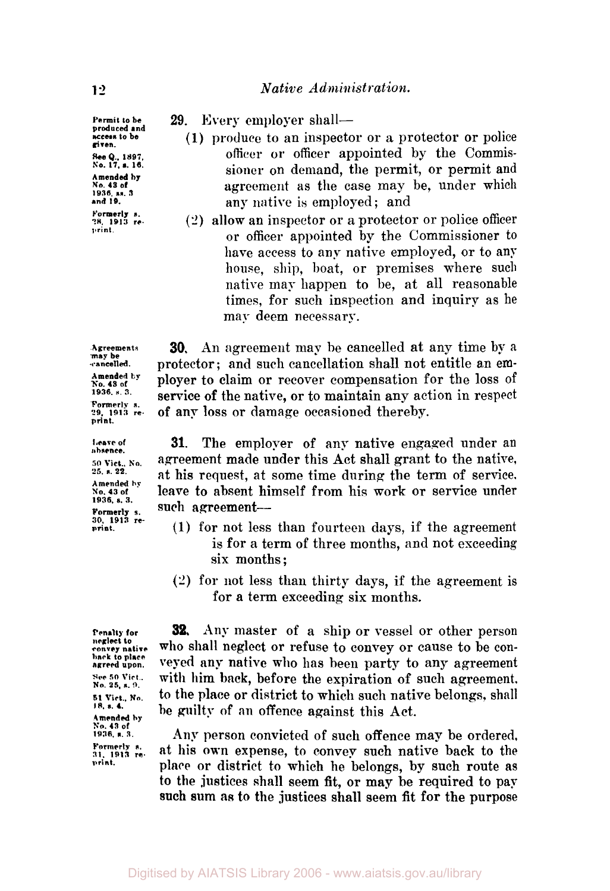**Permit to be produced and access to be given See** *!.,* **1897. No. 17. s. 16. Amended by NO. 43 of 1936. ss. <sup>3</sup> and 19. Formerly s. 28, 1913 re. print** 

**Agreements may be cancelled. Amended by No. 43 of 1936. s 3. Formerly s. 29, 1913 re. print.** 

**Leave of absence. 50 Vict.. No. 25. s. 22. Amended by No. 43 of 1936. s. 3. Formerly s. 30. 1913 re- print.** 

**Penalty for neglect to convey native back to place agreed upon. See 50 Vict** . **No. 25. a. 9. <sup>51</sup>***Vict.,* **No. 18.** *s.* **4. Amended by No. 43 of 1936, s. 3. Formerly s. 31. 1913 re. print.** 

29. Every employer shall-

- **(1)** produce to an inspector or a protector or police **officer or** officer appointed by the Commissioner on demand, the permit, or permit and agreement as the case may be, under which any native is employed; and
- (2) allow an inspector or a protector or police officer or officer appointed by the Commissioner to have access to any native employed, or to any house, ship, boat, **or** premises where such native may happen to be, at all reasonable times, for such inspection and inquiry as he may deem necessary.

**30. An** agreement map be cancelled at any time by **a**  protector ; and such cancellation shall not entitle an employer to claim or recover compensation for the loss of service of the native, **or** to maintain any action in respect **of** any loss **or** damage occasioned thereby.

**31.** The employer of any native engaged under an agreement made under this Act shall grant to the native, at his request, at some time during the term of service. leave to absent himself from his **work** or service under such agreement-

- (1) for not less than fourteen days, if the agreement is for a term of three months, and not exceeding six months;
- **(2)** for not less than thirty days, if the agreement is for a term exceeding six months.

**32. Any** master **of** a ship or vessel or other person **who** shall neglect or refuse to convey or cause to be conveyed any native who has been party to any agreement with him **back,** before the expiration **of** such agreement, to the place or district to which such native belongs, shall he guilty **of an** offence against this Act.

Any person convicted **of** such offence may be ordered, at his own expense, to convey such native back to the **place or** district to which he belongs, by such route as **to** the justices shall seem fit, or may be required to **pap**  such **sum as** to the justices shall seem fit **for** the purpose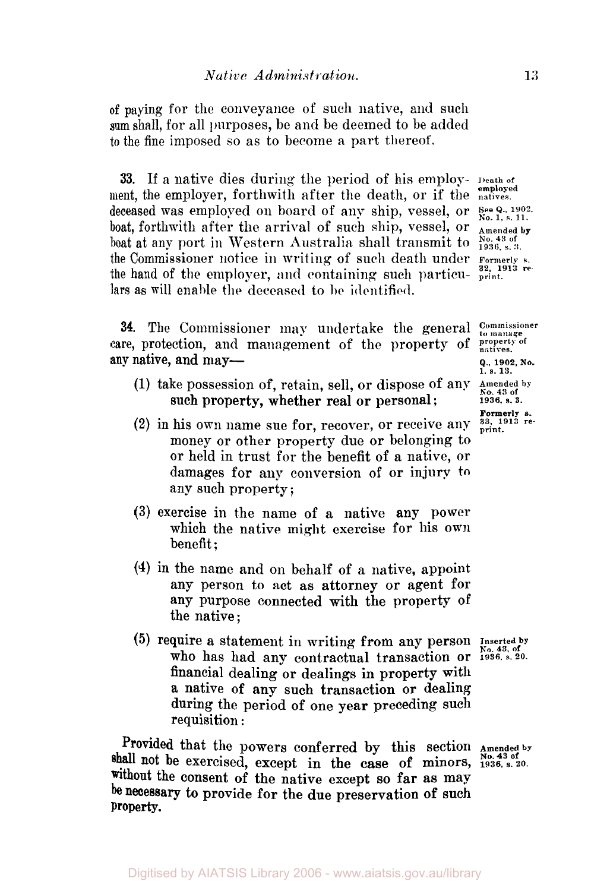of paying for the conveyance of such native, and such **sum** shall, for all purposes, be and be deemed to be added to the fine imposed so as to become a part thereof.

**33.** If a native dies during the period of his employ- **Death of**  ment, the employer, forthwith after the death, or if the **employed** deceased was employed on board of any ship, vessel, or See Q., 1902. boat, forthwith after the arrival of such ship, vessel, or **Amended by** boat at any port in Western Australia shall transmit to  $\frac{N_{0.43 \text{ of}}}{1936, s.3}$ . boat at any port in Western Australia shall transmit to the Commissioner notice in writing of such death under **Formerly**  the hand of the employer, and containing such particu-  $\frac{32}{\text{print}}$  relars **as** will enable the deceased to **be** identified

**34.** The Commissioner may undertake the general *Commissioner* re, protection, and management of the property of *property* of care, protection, and management of the property of any native, and may-<br>**Q., 1902**, No.

- (1) take possession of, retain, sell, or dispose of any *Amended by*<br>such property, whether real or personal: 1936, s. 3. such property, whether real or personal;
- **(2)** in his *own* name sue **for,** recover, or receive any **33, 1913 re**money or other property due or belonging to or held in trust for the benefit of a native, or damages for any conversion of or injury to any such property ;
- **(3)** exercise in the name **of** a native any power which the native might exercise for his **own**  benefit ;
- **(4)** in the name and on behalf **of** a native, appoint any person to act as attorney or agent for any purpose connected with the property of the native;
- (5) require a statement in writing from any person Inserted by who has had any contractual transaction or  $\frac{100,43,06}{1936,8.20}$ . financial dealing or dealings **in** property with a native **of** any such transaction **or** dealing during the period **of** one year preceding such requisition :

Provided that the powers conferred by this section **Amended** by **shall** not **be** exercised, except in the case **of** minors, **1936, s. 20.**  without the consent **of** the native except so far as may be necessary to provide **for** the due preservation **of such property** 

**Formerly** *s.*<br>33, 1913 reprint.

**1, s.13.**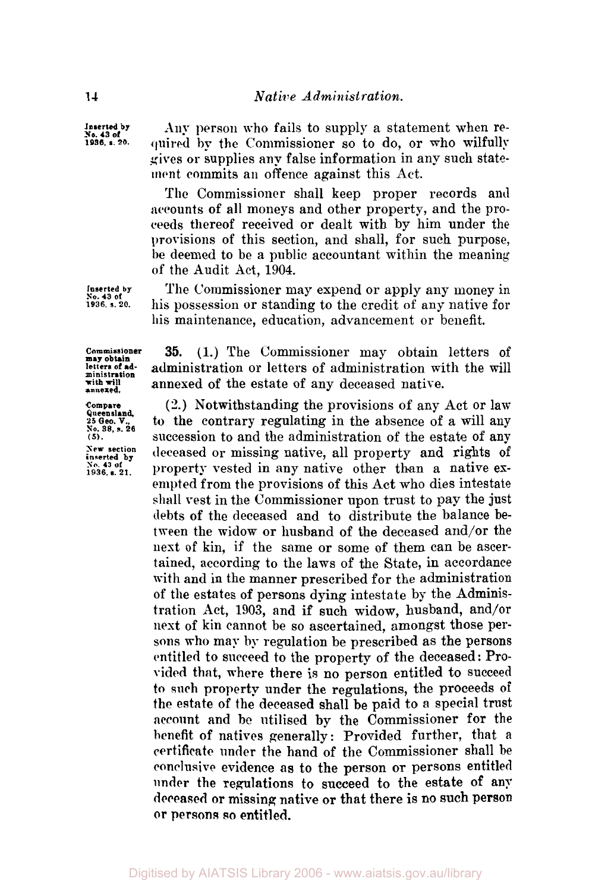**Any** person who fails to supply a statement when **required** by the Commissioner so to do, **or** who wilfully gives **or** supplies any false information in any such statement commits an offence against this Act.

The Commissioner shall keep proper records and accounts of all moneys and other property, and the proceeds thereof received **or** dealt with by him under the provisions of this section, and shall, for such purpose, **be** deemed to be a public accountant within the meaning of the Audit Act, **1904.** 

The Commissioner may expend or apply any money in his possession **or** standing to the credit of any native for his maintenance, education, advancement or benefit.

**Commissioner may obtain letters of administration with will annexed.** 

**Inserted by**  *so.* **43 of 1936. s.** *20.* 

**Compare Queensland, 25 Geo, V., So. 38, s. 26**  *(5).*  **New section inserted by Bo. 43 of 1936. s. 21.** 

**35. (1.)** The Commissioner may obtain letters of administration or letters of administration with the will annexed **of** the estate of any deceased native.

**(2.)** Notwithstanding the provisions **of** any Act **or** lam to the contrary regulating in the absence of **a** will any succession to and the administration of the estate of any deceased **or** missing native, all property and rights **of**  property vested in any native other than a native exempted from the provisions **of** this Act who dies intestate **shall** vest in the Commissioner upon trust to pay the just debts of the deceased and to distribute the balance between the widow **or** husband of the deceased and/or the next of kin, if the same or some of them can be ascertained, according to the laws of the State, in accordance with and in the manner prescribed for the administration of the estates **of** persons dying intestate by the Administration Act, **1903,** and if such widow, husband, and/or nest **of** kin cannot be so ascertained, amongst those persons who may **by** regulation be prescribed as the persons entitled to succeed to the property of the deceased: Provided that, where there is **no** person entitled to succeed to such property under the regulations, the proceeds **of**  the estate of the deceased shall be paid to a special trust account and be utilised by the Commissioner for the benefit **of** natives generally : Provided further, that a certificate under the hand of the Commissioner shall **be**  conclusive evidence as to the person or persons entitled under the regulations to succeed to the estate **of** any deceased or missing native **or** that there is no such person **or persons so** entitled.

**Inserted by No. 43 of 1936, s.** *20.*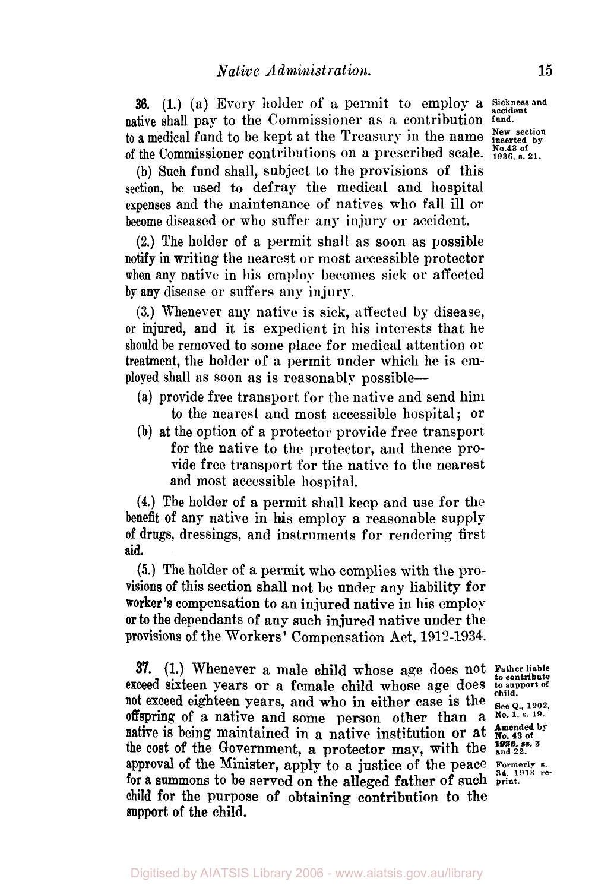**36.** (1.) (a) Every holder of a permit to employ a Sickness and native shall pay to the Commissioner as **a** contribution **fund.**  to a medical fund to be kept at the Treasury in the name New section of the Commissioner contributions on a prescribed scale. **No.43 of**  $\frac{1936, s. 21}{1936, s. 21}$ .

(b) Such fund shall, subject to the provisions of this section, be used to defray the medical and hospital expenses and the maintenance of natives who fall ill or become diseased or who suffer any injury or accident.

**(2.)** The holder of a permit shall as soon as possible notify in writing the nearest or most accessible protector when **any** native in his **employ** becomes **sick** or affected by any disease or suffers any injury.

**(3.)** Whenever any native is sick, affected by disease, or injured, and it is expedient in his interests that he should be removed to some place for medical attention or treatment, the holder of a permit under which he is employed shall as soon as is reasonably possible-

- (a) provide free transport for the native and send him to the nearest and most accessible hospital; or
- (b) at the option of a protector provide free transport for the native to the protector, and thence provide free transport for the native to the nearest and most accessible hospital.

**(4.)** The holder of a permit shall keep and use for the benefit of any native in his employ a reasonable supply **of** drugs, dressings, and instruments for rendering first **aid.** 

*(5.)* The holder of a permit who complies with the pro-Visions of this section shall not be under any liability for worker's compensation to an injured native in his employ **or** to the dependants of any such injured native under the provisions of the Workers' Compensation Act, **1912-1934.** 

**37. (1.)** Whenever a male child whose age does not **Father liable**  exceed sixteen years or a female child whose age does not exceed eighteen years, and who in either case is the  $S_{\text{eeQ}_n, 1902}$ **offspring** of a native and some person other than **a No. 1,** *S.* **19.**  the cost of the Government, a protector may, with the **1936**, ss. 3<br>approval of the Minister, apply to a justice of the peace  $\frac{1}{34}$ , 1913 re. for a summons to be served on the alleged father of such **print. child** for the purpose **of** obtaining contribution to the **support** of the child. mative is being maintained in a native institution or at  $\sum_{n=0}^{\infty}$  and  $\sum_{n=0}^{\infty}$  and  $\sum_{n=0}^{\infty}$  and  $\sum_{n=0}^{\infty}$  and  $\sum_{n=0}^{\infty}$  and  $\sum_{n=0}^{\infty}$  and  $\sum_{n=0}^{\infty}$  and  $\sum_{n=0}^{\infty}$  and  $\sum_{n=0}^{\infty$ 

**to contribute**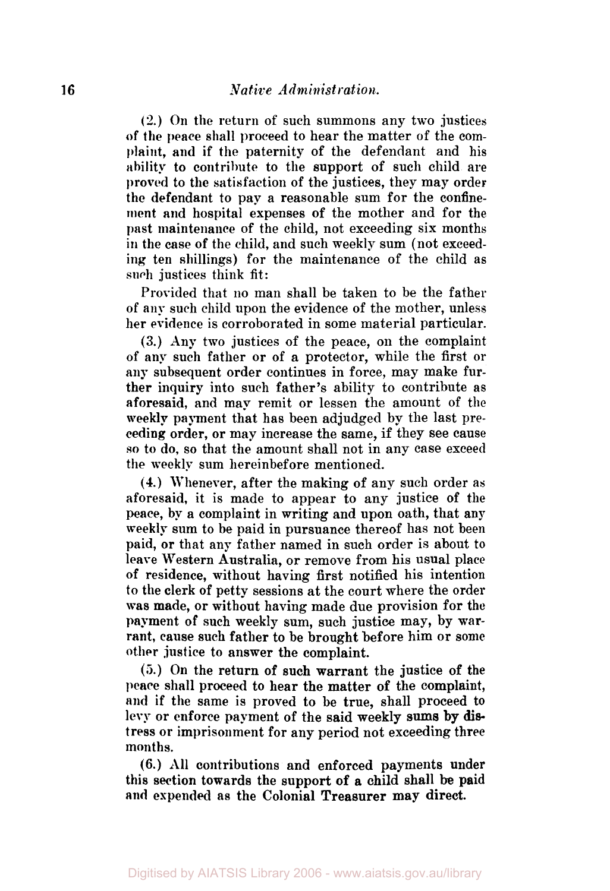**(2.)** On the return of such summons any two justices of the peace shall proceed to hear the matter of the complaint, and if the paternity of the defendant and his ability to contribute to the support of such child are **proved** to the satisfaction of the justices, they may order the defendant to pay a reasonable sum for the confinement and hospital expenses of the mother and for the past maintenance of the child, not exceeding six months in the case of the child, and such meekly sum (not exceeding ten shillings) for the maintenance of the child as such justices think fit:

Provided that no man shall be taken to be the father of any such child upon the evidence of the mother, unless her evidence is corroborated in some material particular.

(3.) Any two justices of the peace, on the complaint of any such father or of a protector, while the first or any subsequent order continues in force, may make further inquiry into such father's ability to contribute as aforesaid, and map remit or lessen the amount of the weekly payment that has been adjudged by the last preceding order, or may increase the same, if they see cause **so** to do, so that the amount shall not in any case exceed the weekly sum hereinbefore mentioned.

**(4.)** Whenever, after the making of any such order as aforesaid, it is made to appear to any justice of the peace, by a complaint in writing and upon oath, that any weekly sum to be paid in pursuance thereof has not been paid, or that any father named in such order is about to leave Western Australia, or remove from his usual place of residence, without having first notified his intention to the clerk of petty sessions at the court where the order was made, or without having made due provision for the payment of such weekly sum, such justice may, by warrant, cause such father to be brought before him or some other justice to answer the complaint.

(5.) On the return of such warrant the justice of the peace shall proceed to hear the matter of the complaint, and if the same is proved to be true, shall proceed to **levy** or enforce payment of the said weekly **sums** by **dis**tress or imprisonment for any period not exceeding three months.

(6.) All contributions and enforced payments under this section towards the support of a child shall be paid and expended as the Colonial Treasurer may direct.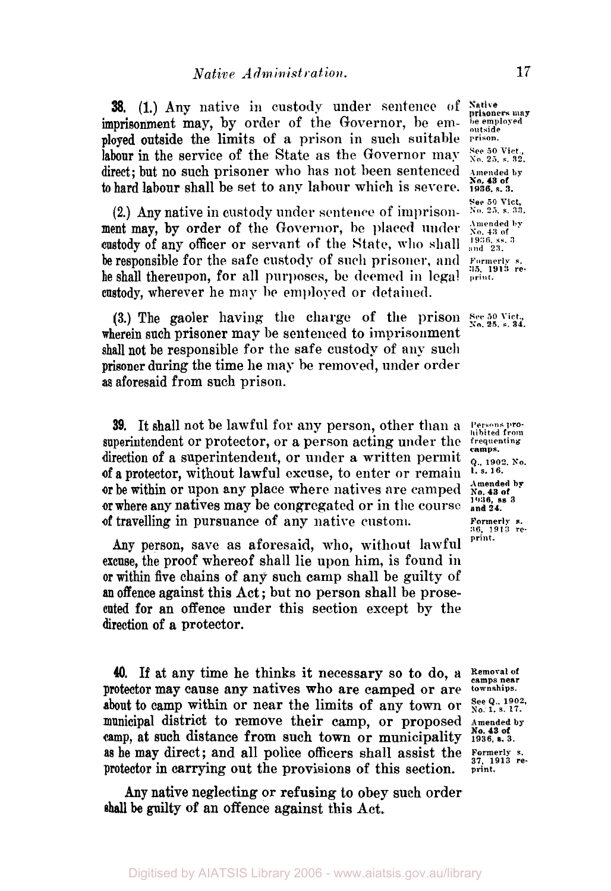**38.** (1.) Any native in custody under sentence **of may**  imprisonment may, by order of the Governor, he em- **be employed outside**  ployed outside the limits of a prison in such suitable **prison**  labour in the service of the State as the Governor may  $\frac{See}{X_0}$ ,  $\frac{50}{25}$ , s. 32. direct; but no such prisoner who has not been sentenced **Amended by**  to hard labour shall be set to any labour which is severe.

(2.) Any native in custody under sentence of imprison- **No. 25. s. 33.**  ment may, by order of the Governor, be placed under  $\frac{\text{Amended}}{\text{S}}$  by  $\frac{43}{100}$  and  $\frac{1}{100}$  and  $\frac{1}{100}$   $\frac{1}{100}$  and  $\frac{1}{100}$  and  $\frac{1}{100}$  and  $\frac{1}{100}$  and  $\frac{1}{100}$  and  $\frac{1}{100}$  and  $\frac{1}{100}$ custody of any officer or servant of the State, who shall  $\frac{1936}{\text{and }23.}$ be responsible for the safe custody of such prisoner **and Formerly s.**  he shall thereupon, for all purposes, be deemed in legal custody, wherever he may **be** employed or detained

wherein such prisoner may be sentenced to imprisonment shall not be responsible for the safe custody of any such prisoner during the time he may be removed, under order as aforesaid from such prison. (3.) The gaoler having the charge of the prison See 50 Vict., **No. 25. s. 34.** 

**39.** It shall not be lawful for any person, other than a **Persons pro**superintendent or protector, or a person acting under the *frequenting* direction of a superintendent, or under a written permit  $Q<sub>1,902, No</sub>$ <br>of a protector without lawful excuse to enter or remain 1, s. 16. **of a** protector, without lawful excuse, to enter or remain *s. 16.*  or be within or upon any place where natives are camped **or** where any natives may be congregated or in the course **and 24.**  of travelling in pursuance of any native custom.

Any person, save as aforesaid, who, without lawful excuse, the proof whereof shall lie upon him, is found in or within five chains of any such camp shall be guilty of **an** offence against this Act ; but no person shall be prosecuted for an offence under this section except by the direction of **a** protector.

40. If at any time he thinks it necessary so to do, a Removal of camps near **camps** near **compared** or are commander in the same **near** *nex cause any natives* who are camps or are townships. protector may cause any natives who are camped or are  $\frac{\text{downships}}{\text{No.1}}$ , s. 17. about to camp within or near the limits of any town or municipal district to remove their camp, or proposed **Amended by**  camp, at **such** distance from such town or municipality **1936, 3.**  as he may direct ; and all police officers shall assist the *Formerly s. 37, 1913 re*protector in carrying out the provisions of this section. **print.** 

**shall** be guilty of an offence against this Act. Any native neglecting or refusing to obey such order

**No. 43 of See 50 Vict.** 

*35, 1913 re-* 

**camps. Amended by 1936 ss 3 Formerly s. 36. 1913 re-**

**No. 43 of**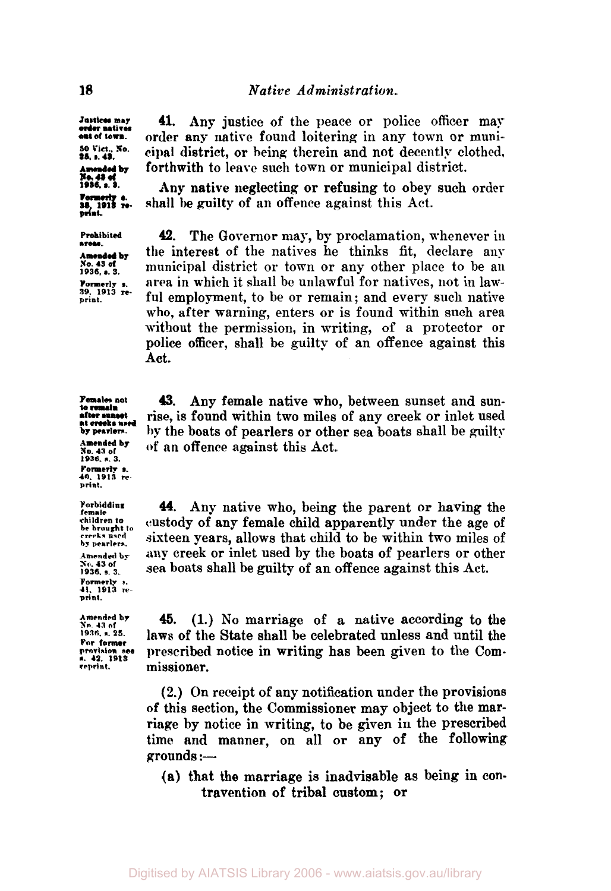*Justices may***<br>***order* **natives<br>out of town.** *50* **Vict..** s. **No.** 

Amended by<br>No. 43 of<br>1936, s. 3.

**1936, s.3. print** 

**areas.** 

**to** *remain*  **after sunset**<br>**at creeks** used<br>by pearlers.

**1936. s. 3. Formerly s. 40. 1913 re. print.** 

**Forbidding female be brought to**<br>creeks used **by pearlers. Amended by** 

**41.** Any justice of the peace or police officer may order any native found loitering in any town or muni-25, 1.45. **Cipal district, or being therein and not decently change of the such than the decently changed** district. cipal district, or being therein and not decently clothed,

> shall be guilty of an offence against this Act. **Any** native neglecting or refusing to obey such order

**Prohibited 42.** The Governor may, by proclamation, whenever in the interest of the natives he thinks fit, declare any **Amended by** the interest of the natives he thinks int, declare any  $\frac{1}{1936}$ , s.s. **municipal district or town or any other** place to be an **Formerly s.** area in which it shall be unlawful for natives, not in law-<br><sup>39, 1913 re-</sup> ful any larmout to be an unmain and avery such native <sup>39. 1913</sup><sup>re.</sup> ful employment, to be or remain; and every such native who, after warning, enters or is found within such area without the permission, in writing, of a protector or police officer, shall be guilty of an offence against this Act.

**43.** Any female native who, between sunset and sunrise, is found within two miles of any creek or inlet used by pearlers. by the boats of pearlers or other sea boats shall be guilty **Amended by** of an offonce aggringt this Act  $\frac{\text{Amended by}}{\text{No. }43 \text{ of}}$  of an offence against this Act.

> **44.** Any native who, being the parent or having the custody of any female child apparently under the age of sixteen years, allows that child to be within two miles of any creek or inlet used by the boats of pearlers or other sea boats shall be guilty of an offence against this Act.

**For former**  \*. **42 1913** 

**Formerly s. 41. 1913 re- print. 1936.** s. **3.** 

 $\frac{\text{Amended by}}{\text{Ne}_1}$  **45.** (1.) No marriage of a native according to the  $\frac{\text{Ne}_2}{\text{Ne}_3}$  and  $\frac{\text{Ne}_3}{\text{Ne}_4}$ **1936. s.** *23.* laws of the State shall be celebrated unless and until the prescribed notice in writing has been given to the Com**reprint** missioner.

> (2.) **On** receipt of any notification under the provisions of this section, the Commissioner may object to the marriage by notice in writing, to be given in the prescribed time and manner, on all or any of the following **grounds** :-

**(a)** that the marriage is inadvisable as being in contravention of tribal custom; or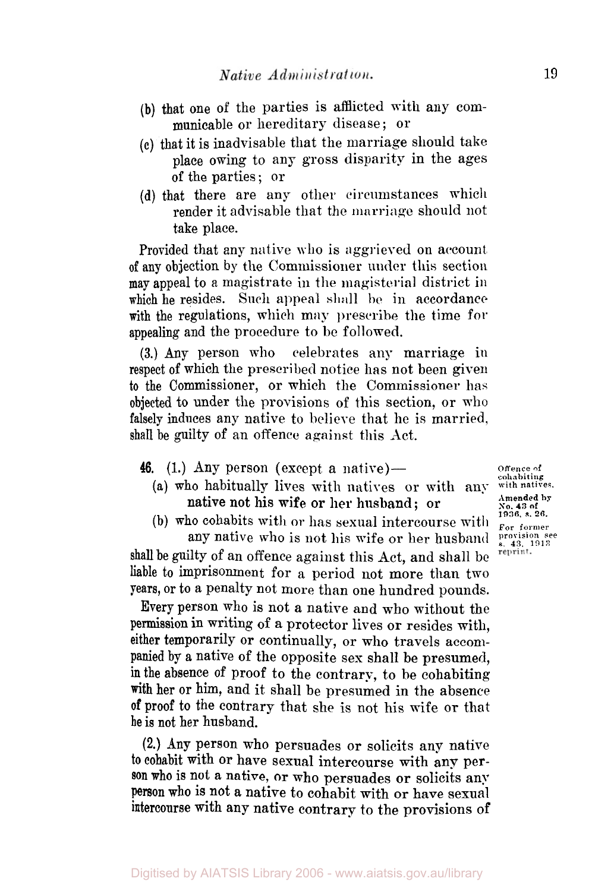- **(b)** that one **of** the parties is afflicted with any communicable or hereditary disease ; or
- **(c)** that it is inadvisable that the marriage should take place owing to any gross disparity in the ages of the parties ; or
- (d) that there are any other circumstances which render it advisable that the **marriage** should not take place.

Provided that any native who is aggrieved on account **of** any objection by the Commissioner under this section **may** appeal to a magistrate in the magisterial district in which he resides. **Such** appeal shall **be in** accordance with the regulations, which may prescribe the time **for**  appealing and the procedure to be followed.

**(3.) Any** person who celebrates any marriage in respect of which the prescribed notice has not been given to the Commissioner, or which the Commissioner has **objected** to under the provisions of this section, or who falsely induces any native to believe that he is married, shall be guilty of an offence against this Act.

46. (1.) Any person (except a native)-

(a) who habitually lives with natives or with any **with natives.**  native not his wife or her husband ; or

(b) who cohabits with or has sexual intercourse with  $\frac{1}{\text{For terms}}$  any native who is not his wife or her husband  $\frac{1}{8.43, 1913}$ any native who is not his wife or her husband shall be guilty of an offence against this Act, and shall be liable to imprisonment for a period not more than two

years, or to a penalty not more than one hundred pounds. Every person who is not a native and who without the permission in writing of a protector lives or resides with, either temporarily **or** continually, or **who** travels accompanied by a native of the opposite sex shall be presumed, in the absence of proof to the contrary, to be cohabiting With her or him, and it shall be presumed in the absence **of** proof to the contrary that she is not his wife or that he is not her husband.

**(2.) Any** person who persuades or solicits any native to cohabit with or have sexual intercourse with any person who is not a native, **or** who persuades **or** solicits any **person who** is not a native to cohabit with or have sexual intercourse with any native contrary to the provisions **of** 

**Offence of cohabiting Amended by No. 43 of 1936 s. 26.** 

reprint.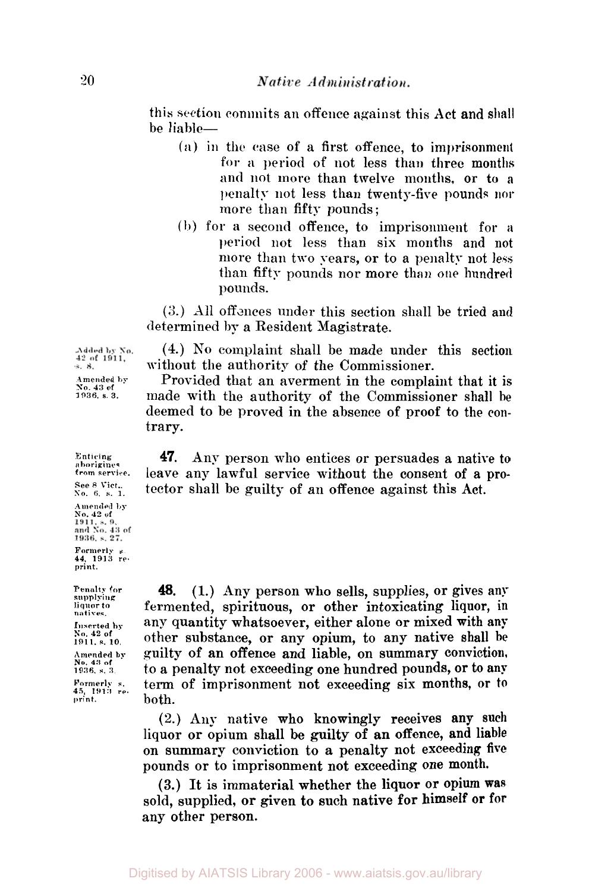this section commits an offence against this Act and shall be liable-

- *(a)* **in** the case of a first offence, to imprisonment for *a* period *of* not less than three months and not more than twelve months, or to a penalty not less than twenty-five pounds **nor**  more than fifty pounds;
- **(b)** for a second offence, to imprisonment for *a*  **period** not less than six months and not more than two years, or to a penalty not less than fifty pounds nor more than **one** hundred pounds.

(3.) All offences under this section shall be tried and determined by a Resident Magistrate.

**(4.)** No complaint shall be made under this section without the authority of the Commissioner.

Provided that an averment in the complaint that it is made with the authority of the Commissioner shall he deemed to be proved in the absence of proof to the contrary.

**47.** Any person who entices or persuades a native to leave any lawful service without the consent of a protector shall be guilty of an offence against this Act.

**48.** (1.) **Any** person who sells, supplies, or gives any fermented, spirituous, **or** other intoxicating liquor, in any quantity whatsoever, either alone **or** mixed with **any**  other substance, **or** any opium, to any native shall he guilty of an offence and liable, on summary conviction, to a penalty not exceeding one hundred pounds, or to **any**  term of imprisonment not exceeding six months, or **to**  both.

(2.) Any native who knowingly receives any such liquor **or** opium shall be guilty of an offence, and liable on summary conviction to a penalty not exceeding **five**  pounds **or** to imprisonment not exceeding one month.

(3.) It is immaterial whether the liquor or opium **was**  sold, supplied, **or** given to such native **for** himself or for any other person.

Added by No.  $42$  of  $1911$ ,<br>s. 8. Amended **by**  *So.* **43 of 1936 s. 3.** 

**Enticing aborigines from service**  See 8 Vict., **No. 6. s. 1. Amended by No. 42 of Formerly s. 44. 1913 re-print.** 

**Penalty for supplying liquor** *to*  **natives. Inserted by No. 42 of 1911, s. 10. Amended by No. 43 of 1936, s. 3. Formerly s. 45, 1913 reprint.**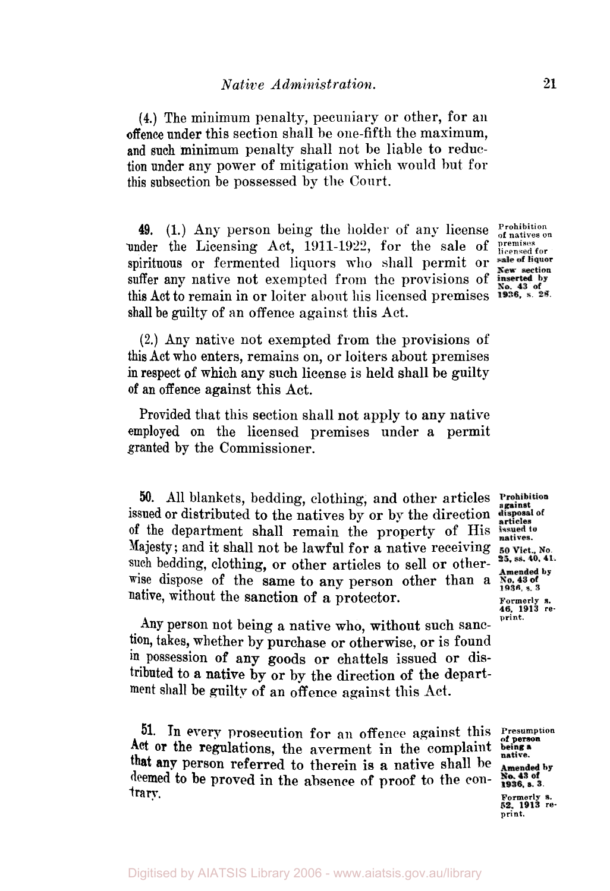**(4.)** The minimum penalty, pecuniary or other, for an offence under this section shall he one-fifth the maximum, and such minimum penalty shall not be liable to reduction under any power of mitigation which would but for this subsection be possessed by the Court.

49. (1.) Any person being the holder of any license *Prohibition* of natives on other the Licensing Act, 1911-1922, for the sale of **premises** for *shifting* or fermented liquors who shall narmit or sale of liquor under the Licensing Act, 1911-1922, for the sale of spirituous or fermented liquors who shall permit or suffer any native not exempted from the provisions of this Act to remain in or loiter about his licensed premises  $\frac{100 \times 1000 \text{ N}}{1936}$ , s. 28. shall be guilty of an offence against this Act.

**(2.)** Any native not exempted from the provisions of this Act who enters, remains on, or loiters about premises in respect **of** which any such license is held shall be guilty **of** an offence against this Act.

Provided that this section shall not apply to any native employed on the licensed premises under a permit granted by the Commissioner.

*50.* All blankets, bedding, clothing, and other articles issued or distributed to the natives by or by the direction disposal of **of** the department shall remain the property of His Majesty; and it shall not be lawful for a native receiving such bedding, clothing, or other articles to sell or otherwise dispose of the same to any person other than a native, without the sanction of a protector.<br> **Formerly s.**<br> **Formerly s.**<br> **Formerly s.**<br> **Formerly s.**<br> **Formerly s.**<br> **Formerly s.**<br> **Formerly s.** 

Any person not being a native who, without such sanction, takes, whether by purchase **or** otherwise, or is found **in** possession **of** any goods **or** chattels issued or distributed to a native **by** or by the direction of the department shall **be** guilty of an offence against this Act.

**51.** In every prosecution for an offence against this **Presumption** Act or the regulations, the averment in the complaint **being a** that **any** person referred to therein is **a** native shall be deemed to **be** proved in the absence **of** proof **to** the **contrary.** Formerly s. 52, 1913 re-<br>
52, 1913 re- print.

articles<br>issued to natives. 50 Vict., No. 25, ss. 40, 41. Amended by<br>No. 43 of

Amended by<br>No. 43 of 1936, s. 3.